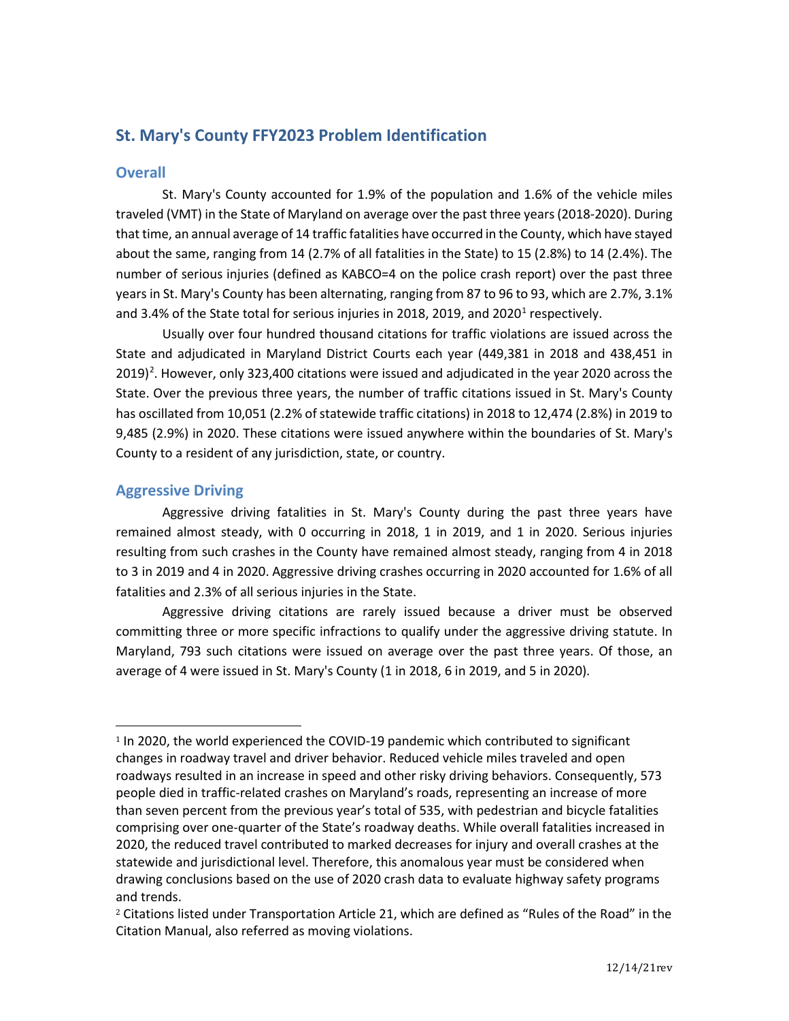# **St. Mary's County FFY2023 Problem Identification**

### **Overall**

St. Mary's County accounted for 1.9% of the population and 1.6% of the vehicle miles traveled (VMT) in the State of Maryland on average over the past three years (2018-2020). During that time, an annual average of 14 traffic fatalities have occurred in the County, which have stayed about the same, ranging from 14 (2.7% of all fatalities in the State) to 15 (2.8%) to 14 (2.4%). The number of serious injuries (defined as KABCO=4 on the police crash report) over the past three years in St. Mary's County has been alternating, ranging from 87 to 96 to 93, which are 2.7%, 3.1% and 3.4% of the State total for serious injuries in 20[1](#page-0-0)8, 2019, and 2020<sup>1</sup> respectively.

Usually over four hundred thousand citations for traffic violations are issued across the State and adjudicated in Maryland District Courts each year (449,381 in 2018 and 438,451 in [2](#page-0-1)019)<sup>2</sup>. However, only 323,400 citations were issued and adjudicated in the year 2020 across the State. Over the previous three years, the number of traffic citations issued in St. Mary's County has oscillated from 10,051 (2.2% of statewide traffic citations) in 2018 to 12,474 (2.8%) in 2019 to 9,485 (2.9%) in 2020. These citations were issued anywhere within the boundaries of St. Mary's County to a resident of any jurisdiction, state, or country.

# **Aggressive Driving**

Aggressive driving fatalities in St. Mary's County during the past three years have remained almost steady, with 0 occurring in 2018, 1 in 2019, and 1 in 2020. Serious injuries resulting from such crashes in the County have remained almost steady, ranging from 4 in 2018 to 3 in 2019 and 4 in 2020. Aggressive driving crashes occurring in 2020 accounted for 1.6% of all fatalities and 2.3% of all serious injuries in the State.

Aggressive driving citations are rarely issued because a driver must be observed committing three or more specific infractions to qualify under the aggressive driving statute. In Maryland, 793 such citations were issued on average over the past three years. Of those, an average of 4 were issued in St. Mary's County (1 in 2018, 6 in 2019, and 5 in 2020).

<span id="page-0-0"></span><sup>1</sup> In 2020, the world experienced the COVID-19 pandemic which contributed to significant changes in roadway travel and driver behavior. Reduced vehicle miles traveled and open roadways resulted in an increase in speed and other risky driving behaviors. Consequently, 573 people died in traffic-related crashes on Maryland's roads, representing an increase of more than seven percent from the previous year's total of 535, with pedestrian and bicycle fatalities comprising over one-quarter of the State's roadway deaths. While overall fatalities increased in 2020, the reduced travel contributed to marked decreases for injury and overall crashes at the statewide and jurisdictional level. Therefore, this anomalous year must be considered when drawing conclusions based on the use of 2020 crash data to evaluate highway safety programs and trends.

<span id="page-0-1"></span><sup>&</sup>lt;sup>2</sup> Citations listed under Transportation Article 21, which are defined as "Rules of the Road" in the Citation Manual, also referred as moving violations.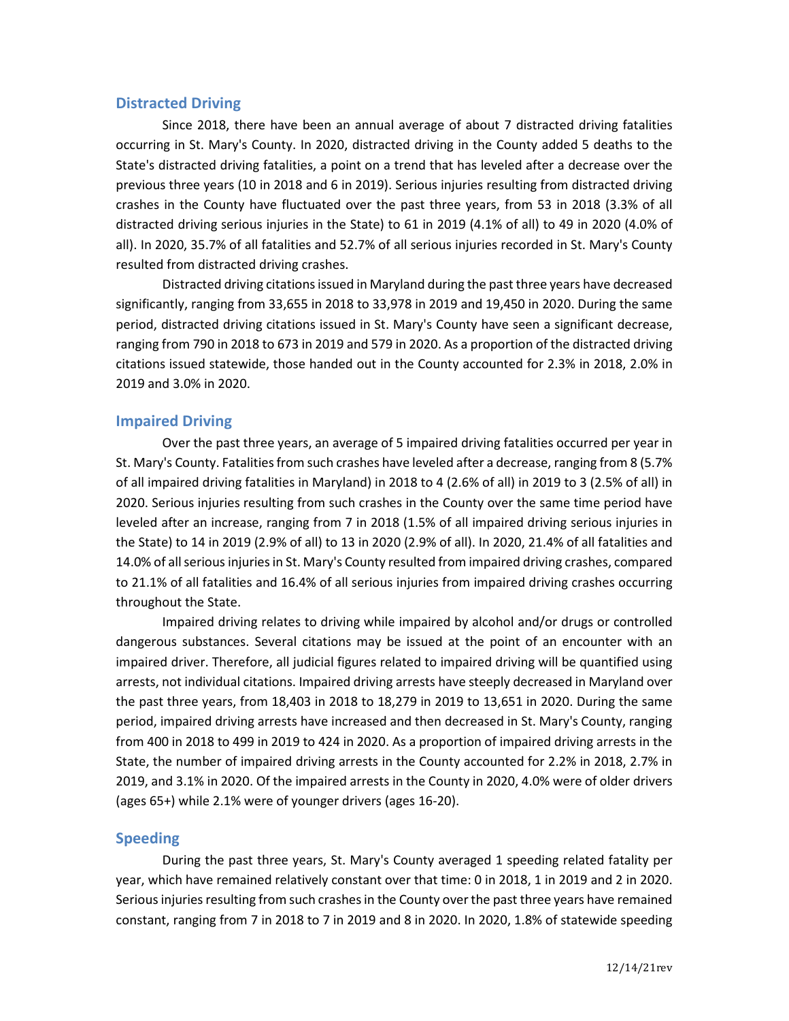### **Distracted Driving**

Since 2018, there have been an annual average of about 7 distracted driving fatalities occurring in St. Mary's County. In 2020, distracted driving in the County added 5 deaths to the State's distracted driving fatalities, a point on a trend that has leveled after a decrease over the previous three years (10 in 2018 and 6 in 2019). Serious injuries resulting from distracted driving crashes in the County have fluctuated over the past three years, from 53 in 2018 (3.3% of all distracted driving serious injuries in the State) to 61 in 2019 (4.1% of all) to 49 in 2020 (4.0% of all). In 2020, 35.7% of all fatalities and 52.7% of all serious injuries recorded in St. Mary's County resulted from distracted driving crashes.

Distracted driving citations issued in Maryland during the past three years have decreased significantly, ranging from 33,655 in 2018 to 33,978 in 2019 and 19,450 in 2020. During the same period, distracted driving citations issued in St. Mary's County have seen a significant decrease, ranging from 790 in 2018 to 673 in 2019 and 579 in 2020. As a proportion of the distracted driving citations issued statewide, those handed out in the County accounted for 2.3% in 2018, 2.0% in 2019 and 3.0% in 2020.

### **Impaired Driving**

Over the past three years, an average of 5 impaired driving fatalities occurred per year in St. Mary's County. Fatalities from such crashes have leveled after a decrease, ranging from 8 (5.7% of all impaired driving fatalities in Maryland) in 2018 to 4 (2.6% of all) in 2019 to 3 (2.5% of all) in 2020. Serious injuries resulting from such crashes in the County over the same time period have leveled after an increase, ranging from 7 in 2018 (1.5% of all impaired driving serious injuries in the State) to 14 in 2019 (2.9% of all) to 13 in 2020 (2.9% of all). In 2020, 21.4% of all fatalities and 14.0% of all serious injuries in St. Mary's County resulted from impaired driving crashes, compared to 21.1% of all fatalities and 16.4% of all serious injuries from impaired driving crashes occurring throughout the State.

Impaired driving relates to driving while impaired by alcohol and/or drugs or controlled dangerous substances. Several citations may be issued at the point of an encounter with an impaired driver. Therefore, all judicial figures related to impaired driving will be quantified using arrests, not individual citations. Impaired driving arrests have steeply decreased in Maryland over the past three years, from 18,403 in 2018 to 18,279 in 2019 to 13,651 in 2020. During the same period, impaired driving arrests have increased and then decreased in St. Mary's County, ranging from 400 in 2018 to 499 in 2019 to 424 in 2020. As a proportion of impaired driving arrests in the State, the number of impaired driving arrests in the County accounted for 2.2% in 2018, 2.7% in 2019, and 3.1% in 2020. Of the impaired arrests in the County in 2020, 4.0% were of older drivers (ages 65+) while 2.1% were of younger drivers (ages 16-20).

### **Speeding**

During the past three years, St. Mary's County averaged 1 speeding related fatality per year, which have remained relatively constant over that time: 0 in 2018, 1 in 2019 and 2 in 2020. Serious injuries resulting from such crashes in the County over the past three years have remained constant, ranging from 7 in 2018 to 7 in 2019 and 8 in 2020. In 2020, 1.8% of statewide speeding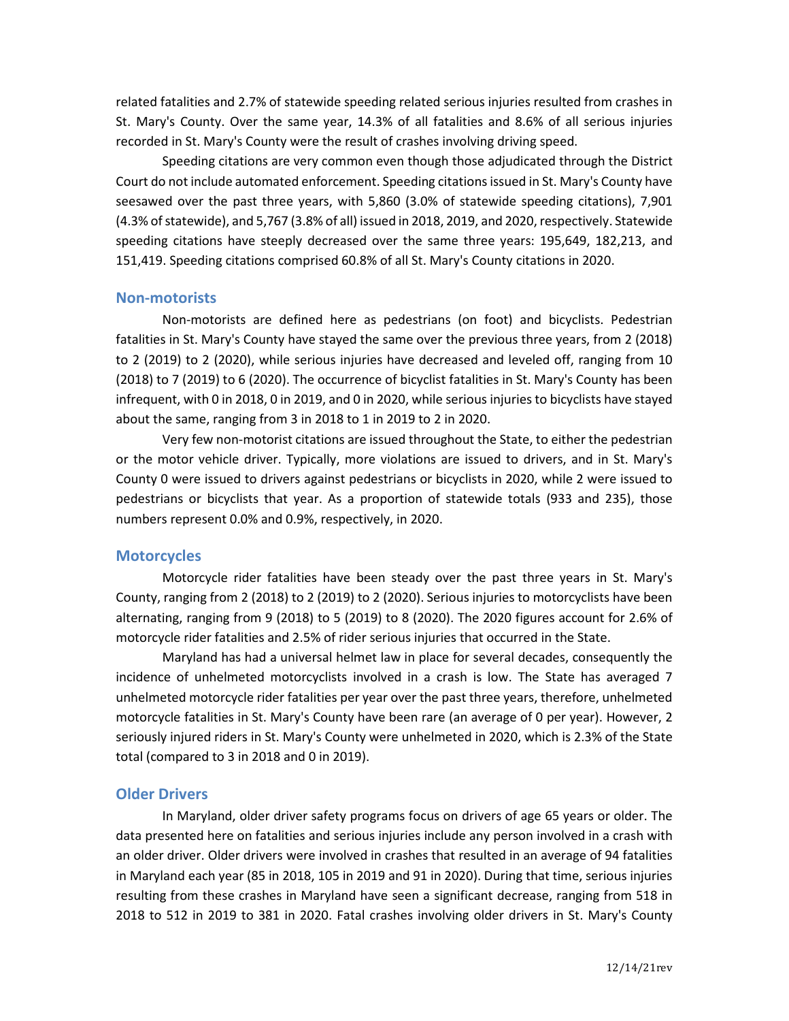related fatalities and 2.7% of statewide speeding related serious injuries resulted from crashes in St. Mary's County. Over the same year, 14.3% of all fatalities and 8.6% of all serious injuries recorded in St. Mary's County were the result of crashes involving driving speed.

Speeding citations are very common even though those adjudicated through the District Court do not include automated enforcement. Speeding citations issued in St. Mary's County have seesawed over the past three years, with 5,860 (3.0% of statewide speeding citations), 7,901 (4.3% of statewide), and 5,767 (3.8% of all) issued in 2018, 2019, and 2020, respectively. Statewide speeding citations have steeply decreased over the same three years: 195,649, 182,213, and 151,419. Speeding citations comprised 60.8% of all St. Mary's County citations in 2020.

#### **Non-motorists**

Non-motorists are defined here as pedestrians (on foot) and bicyclists. Pedestrian fatalities in St. Mary's County have stayed the same over the previous three years, from 2 (2018) to 2 (2019) to 2 (2020), while serious injuries have decreased and leveled off, ranging from 10 (2018) to 7 (2019) to 6 (2020). The occurrence of bicyclist fatalities in St. Mary's County has been infrequent, with 0 in 2018, 0 in 2019, and 0 in 2020, while serious injuries to bicyclists have stayed about the same, ranging from 3 in 2018 to 1 in 2019 to 2 in 2020.

Very few non-motorist citations are issued throughout the State, to either the pedestrian or the motor vehicle driver. Typically, more violations are issued to drivers, and in St. Mary's County 0 were issued to drivers against pedestrians or bicyclists in 2020, while 2 were issued to pedestrians or bicyclists that year. As a proportion of statewide totals (933 and 235), those numbers represent 0.0% and 0.9%, respectively, in 2020.

### **Motorcycles**

Motorcycle rider fatalities have been steady over the past three years in St. Mary's County, ranging from 2 (2018) to 2 (2019) to 2 (2020). Serious injuries to motorcyclists have been alternating, ranging from 9 (2018) to 5 (2019) to 8 (2020). The 2020 figures account for 2.6% of motorcycle rider fatalities and 2.5% of rider serious injuries that occurred in the State.

Maryland has had a universal helmet law in place for several decades, consequently the incidence of unhelmeted motorcyclists involved in a crash is low. The State has averaged 7 unhelmeted motorcycle rider fatalities per year over the past three years, therefore, unhelmeted motorcycle fatalities in St. Mary's County have been rare (an average of 0 per year). However, 2 seriously injured riders in St. Mary's County were unhelmeted in 2020, which is 2.3% of the State total (compared to 3 in 2018 and 0 in 2019).

### **Older Drivers**

In Maryland, older driver safety programs focus on drivers of age 65 years or older. The data presented here on fatalities and serious injuries include any person involved in a crash with an older driver. Older drivers were involved in crashes that resulted in an average of 94 fatalities in Maryland each year (85 in 2018, 105 in 2019 and 91 in 2020). During that time, serious injuries resulting from these crashes in Maryland have seen a significant decrease, ranging from 518 in 2018 to 512 in 2019 to 381 in 2020. Fatal crashes involving older drivers in St. Mary's County